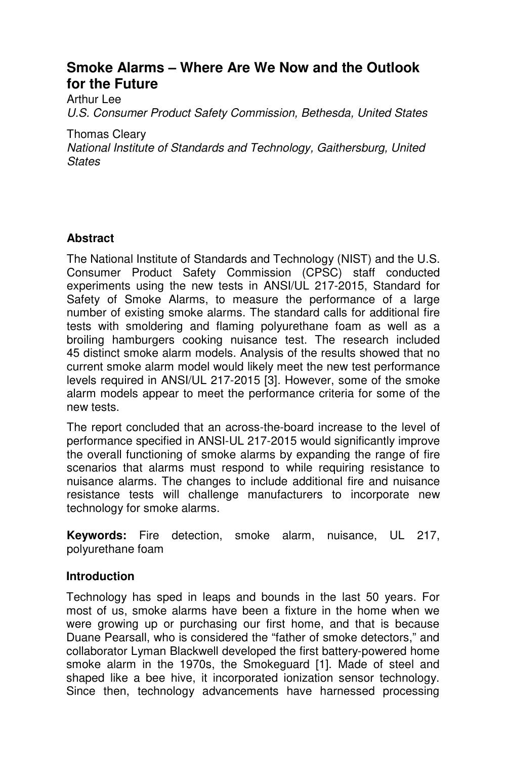# **Smoke Alarms – Where Are We Now and the Outlook for the Future**

Arthur Lee U.S. Consumer Product Safety Commission, Bethesda, United States

Thomas Cleary

National Institute of Standards and Technology, Gaithersburg, United **States** 

# **Abstract**

The National Institute of Standards and Technology (NIST) and the U.S. Consumer Product Safety Commission (CPSC) staff conducted experiments using the new tests in ANSI/UL 217-2015, Standard for Safety of Smoke Alarms, to measure the performance of a large number of existing smoke alarms. The standard calls for additional fire tests with smoldering and flaming polyurethane foam as well as a broiling hamburgers cooking nuisance test. The research included 45 distinct smoke alarm models. Analysis of the results showed that no current smoke alarm model would likely meet the new test performance levels required in ANSI/UL 217-2015 [3]. However, some of the smoke alarm models appear to meet the performance criteria for some of the new tests.

The report concluded that an across-the-board increase to the level of performance specified in ANSI-UL 217-2015 would significantly improve the overall functioning of smoke alarms by expanding the range of fire scenarios that alarms must respond to while requiring resistance to nuisance alarms. The changes to include additional fire and nuisance resistance tests will challenge manufacturers to incorporate new technology for smoke alarms.

**Keywords:** Fire detection, smoke alarm, nuisance, UL 217, polyurethane foam

# **Introduction**

Technology has sped in leaps and bounds in the last 50 years. For most of us, smoke alarms have been a fixture in the home when we were growing up or purchasing our first home, and that is because Duane Pearsall, who is considered the "father of smoke detectors," and collaborator Lyman Blackwell developed the first battery-powered home smoke alarm in the 1970s, the Smokeguard [1]. Made of steel and shaped like a bee hive, it incorporated ionization sensor technology. Since then, technology advancements have harnessed processing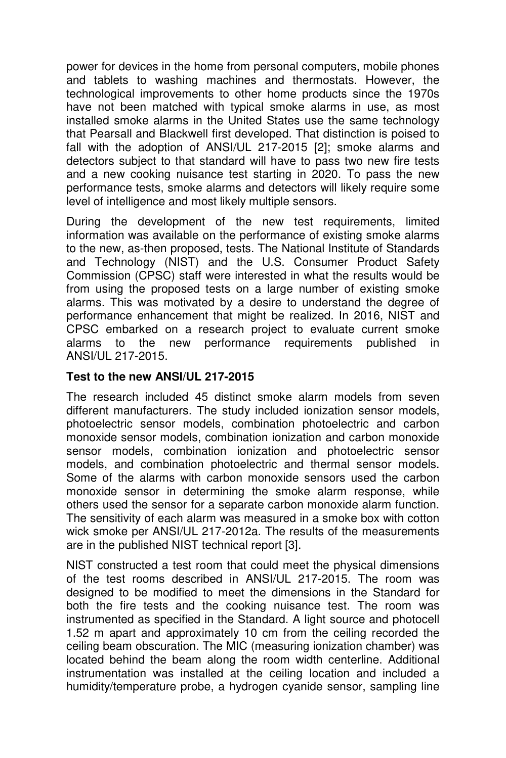power for devices in the home from personal computers, mobile phones and tablets to washing machines and thermostats. However, the technological improvements to other home products since the 1970s have not been matched with typical smoke alarms in use, as most installed smoke alarms in the United States use the same technology that Pearsall and Blackwell first developed. That distinction is poised to fall with the adoption of ANSI/UL 217-2015 [2]; smoke alarms and detectors subject to that standard will have to pass two new fire tests and a new cooking nuisance test starting in 2020. To pass the new performance tests, smoke alarms and detectors will likely require some level of intelligence and most likely multiple sensors.

During the development of the new test requirements, limited information was available on the performance of existing smoke alarms to the new, as-then proposed, tests. The National Institute of Standards and Technology (NIST) and the U.S. Consumer Product Safety Commission (CPSC) staff were interested in what the results would be from using the proposed tests on a large number of existing smoke alarms. This was motivated by a desire to understand the degree of performance enhancement that might be realized. In 2016, NIST and CPSC embarked on a research project to evaluate current smoke alarms to the new performance requirements published in ANSI/UL 217-2015.

# **Test to the new ANSI/UL 217-2015**

The research included 45 distinct smoke alarm models from seven different manufacturers. The study included ionization sensor models, photoelectric sensor models, combination photoelectric and carbon monoxide sensor models, combination ionization and carbon monoxide sensor models, combination ionization and photoelectric sensor models, and combination photoelectric and thermal sensor models. Some of the alarms with carbon monoxide sensors used the carbon monoxide sensor in determining the smoke alarm response, while others used the sensor for a separate carbon monoxide alarm function. The sensitivity of each alarm was measured in a smoke box with cotton wick smoke per ANSI/UL 217-2012a. The results of the measurements are in the published NIST technical report [3].

NIST constructed a test room that could meet the physical dimensions of the test rooms described in ANSI/UL 217-2015. The room was designed to be modified to meet the dimensions in the Standard for both the fire tests and the cooking nuisance test. The room was instrumented as specified in the Standard. A light source and photocell 1.52 m apart and approximately 10 cm from the ceiling recorded the ceiling beam obscuration. The MIC (measuring ionization chamber) was located behind the beam along the room width centerline. Additional instrumentation was installed at the ceiling location and included a humidity/temperature probe, a hydrogen cyanide sensor, sampling line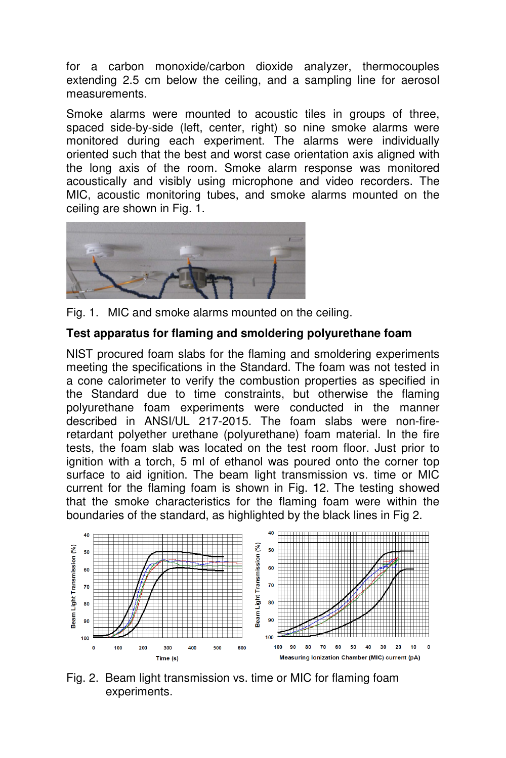for a carbon monoxide/carbon dioxide analyzer, thermocouples extending 2.5 cm below the ceiling, and a sampling line for aerosol measurements.

Smoke alarms were mounted to acoustic tiles in groups of three, spaced side-by-side (left, center, right) so nine smoke alarms were monitored during each experiment. The alarms were individually oriented such that the best and worst case orientation axis aligned with the long axis of the room. Smoke alarm response was monitored acoustically and visibly using microphone and video recorders. The MIC, acoustic monitoring tubes, and smoke alarms mounted on the ceiling are shown in Fig. 1.



Fig. 1. MIC and smoke alarms mounted on the ceiling.

### **Test apparatus for flaming and smoldering polyurethane foam**

NIST procured foam slabs for the flaming and smoldering experiments meeting the specifications in the Standard. The foam was not tested in a cone calorimeter to verify the combustion properties as specified in the Standard due to time constraints, but otherwise the flaming polyurethane foam experiments were conducted in the manner described in ANSI/UL 217-2015. The foam slabs were non-fireretardant polyether urethane (polyurethane) foam material. In the fire tests, the foam slab was located on the test room floor. Just prior to ignition with a torch, 5 ml of ethanol was poured onto the corner top surface to aid ignition. The beam light transmission vs. time or MIC current for the flaming foam is shown in Fig. **1**2. The testing showed that the smoke characteristics for the flaming foam were within the boundaries of the standard, as highlighted by the black lines in Fig 2.



Fig. 2. Beam light transmission vs. time or MIC for flaming foam experiments.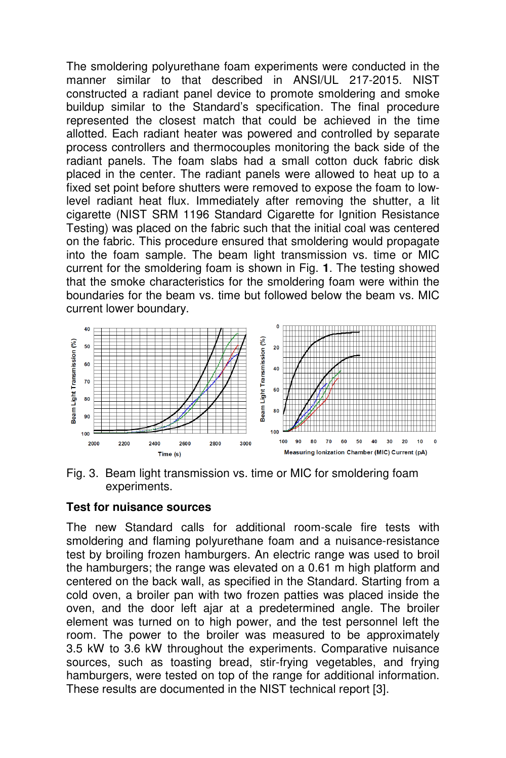The smoldering polyurethane foam experiments were conducted in the manner similar to that described in ANSI/UL 217-2015. NIST constructed a radiant panel device to promote smoldering and smoke buildup similar to the Standard's specification. The final procedure represented the closest match that could be achieved in the time allotted. Each radiant heater was powered and controlled by separate process controllers and thermocouples monitoring the back side of the radiant panels. The foam slabs had a small cotton duck fabric disk placed in the center. The radiant panels were allowed to heat up to a fixed set point before shutters were removed to expose the foam to lowlevel radiant heat flux. Immediately after removing the shutter, a lit cigarette (NIST SRM 1196 Standard Cigarette for Ignition Resistance Testing) was placed on the fabric such that the initial coal was centered on the fabric. This procedure ensured that smoldering would propagate into the foam sample. The beam light transmission vs. time or MIC current for the smoldering foam is shown in Fig. **1**. The testing showed that the smoke characteristics for the smoldering foam were within the boundaries for the beam vs. time but followed below the beam vs. MIC current lower boundary.





#### **Test for nuisance sources**

The new Standard calls for additional room-scale fire tests with smoldering and flaming polyurethane foam and a nuisance-resistance test by broiling frozen hamburgers. An electric range was used to broil the hamburgers; the range was elevated on a 0.61 m high platform and centered on the back wall, as specified in the Standard. Starting from a cold oven, a broiler pan with two frozen patties was placed inside the oven, and the door left ajar at a predetermined angle. The broiler element was turned on to high power, and the test personnel left the room. The power to the broiler was measured to be approximately 3.5 kW to 3.6 kW throughout the experiments. Comparative nuisance sources, such as toasting bread, stir-frying vegetables, and frying hamburgers, were tested on top of the range for additional information. These results are documented in the NIST technical report [3].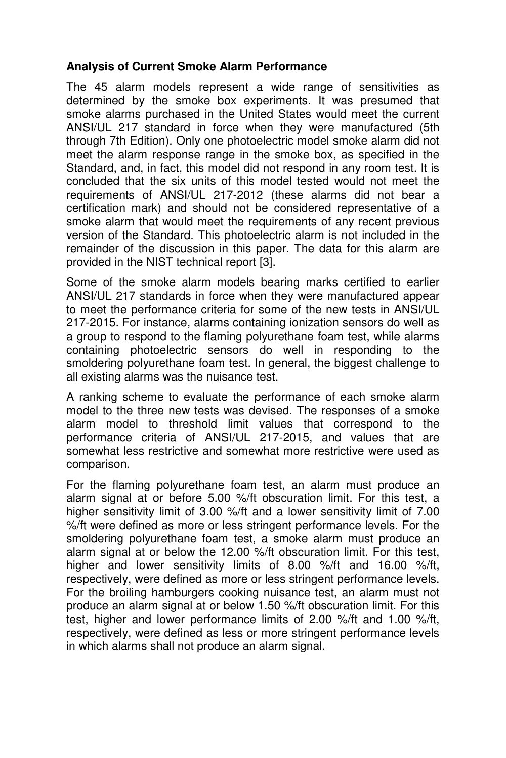### **Analysis of Current Smoke Alarm Performance**

The 45 alarm models represent a wide range of sensitivities as determined by the smoke box experiments. It was presumed that smoke alarms purchased in the United States would meet the current ANSI/UL 217 standard in force when they were manufactured (5th through 7th Edition). Only one photoelectric model smoke alarm did not meet the alarm response range in the smoke box, as specified in the Standard, and, in fact, this model did not respond in any room test. It is concluded that the six units of this model tested would not meet the requirements of ANSI/UL 217-2012 (these alarms did not bear a certification mark) and should not be considered representative of a smoke alarm that would meet the requirements of any recent previous version of the Standard. This photoelectric alarm is not included in the remainder of the discussion in this paper. The data for this alarm are provided in the NIST technical report [3].

Some of the smoke alarm models bearing marks certified to earlier ANSI/UL 217 standards in force when they were manufactured appear to meet the performance criteria for some of the new tests in ANSI/UL 217-2015. For instance, alarms containing ionization sensors do well as a group to respond to the flaming polyurethane foam test, while alarms containing photoelectric sensors do well in responding to the smoldering polyurethane foam test. In general, the biggest challenge to all existing alarms was the nuisance test.

A ranking scheme to evaluate the performance of each smoke alarm model to the three new tests was devised. The responses of a smoke alarm model to threshold limit values that correspond to the performance criteria of ANSI/UL 217-2015, and values that are somewhat less restrictive and somewhat more restrictive were used as comparison.

For the flaming polyurethane foam test, an alarm must produce an alarm signal at or before 5.00 %/ft obscuration limit. For this test, a higher sensitivity limit of 3.00 %/ft and a lower sensitivity limit of 7.00 %/ft were defined as more or less stringent performance levels. For the smoldering polyurethane foam test, a smoke alarm must produce an alarm signal at or below the 12.00 %/ft obscuration limit. For this test, higher and lower sensitivity limits of 8.00 %/ft and 16.00 %/ft, respectively, were defined as more or less stringent performance levels. For the broiling hamburgers cooking nuisance test, an alarm must not produce an alarm signal at or below 1.50 %/ft obscuration limit. For this test, higher and lower performance limits of 2.00 %/ft and 1.00 %/ft, respectively, were defined as less or more stringent performance levels in which alarms shall not produce an alarm signal.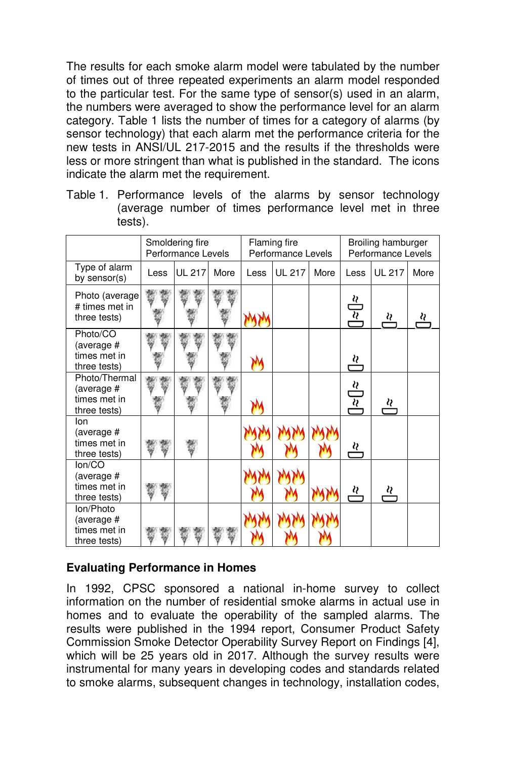The results for each smoke alarm model were tabulated by the number of times out of three repeated experiments an alarm model responded to the particular test. For the same type of sensor(s) used in an alarm, the numbers were averaged to show the performance level for an alarm category. Table 1 lists the number of times for a category of alarms (by sensor technology) that each alarm met the performance criteria for the new tests in ANSI/UL 217-2015 and the results if the thresholds were less or more stringent than what is published in the standard. The icons indicate the alarm met the requirement.

Table 1. Performance levels of the alarms by sensor technology (average number of times performance level met in three tests).

|                                                             | Smoldering fire<br>Performance Levels |               |      | Flaming fire<br>Performance Levels |               |      | Broiling hamburger<br>Performance Levels |               |      |
|-------------------------------------------------------------|---------------------------------------|---------------|------|------------------------------------|---------------|------|------------------------------------------|---------------|------|
| Type of alarm<br>by sensor(s)                               | Less                                  | <b>UL 217</b> | More | Less                               | <b>UL 217</b> | More | Less                                     | <b>UL 217</b> | More |
| Photo (average<br># times met in<br>three tests)            |                                       |               |      |                                    |               |      | $\frac{\partial}{\partial z}$            | <u>يى</u>     |      |
| Photo/CO<br>(average #<br>times met in<br>three tests)      |                                       |               |      |                                    |               |      | <u>ય</u>                                 |               |      |
| Photo/Thermal<br>(average #<br>times met in<br>three tests) |                                       |               |      |                                    |               |      | $\frac{\alpha}{\alpha}$                  | ∛             |      |
| lon<br>(average #<br>times met in<br>three tests)           |                                       |               |      |                                    |               |      | <u>{}</u>                                |               |      |
| lon/CO<br>(average #<br>times met in<br>three tests)        |                                       |               |      |                                    |               |      | <u>ય</u>                                 | <u>શ</u>      |      |
| Ion/Photo<br>(average #<br>times met in<br>three tests)     |                                       |               |      |                                    |               |      |                                          |               |      |

# **Evaluating Performance in Homes**

In 1992, CPSC sponsored a national in-home survey to collect information on the number of residential smoke alarms in actual use in homes and to evaluate the operability of the sampled alarms. The results were published in the 1994 report, Consumer Product Safety Commission Smoke Detector Operability Survey Report on Findings [4], which will be 25 years old in 2017. Although the survey results were instrumental for many years in developing codes and standards related to smoke alarms, subsequent changes in technology, installation codes,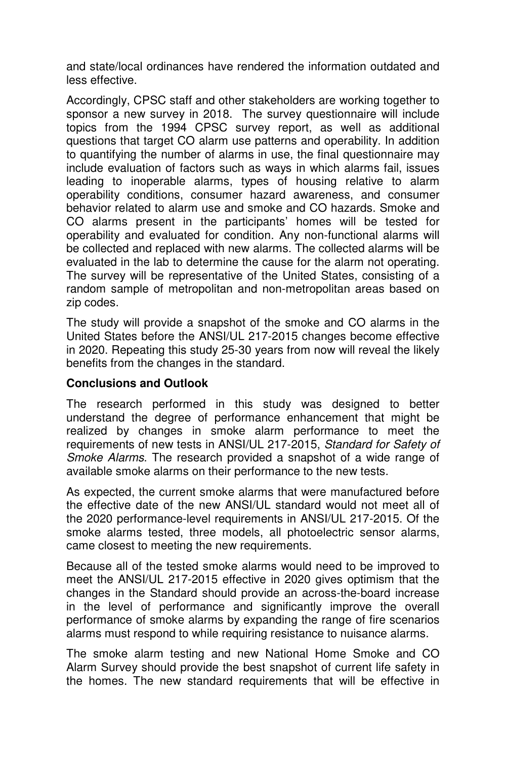and state/local ordinances have rendered the information outdated and less effective.

Accordingly, CPSC staff and other stakeholders are working together to sponsor a new survey in 2018. The survey questionnaire will include topics from the 1994 CPSC survey report, as well as additional questions that target CO alarm use patterns and operability. In addition to quantifying the number of alarms in use, the final questionnaire may include evaluation of factors such as ways in which alarms fail, issues leading to inoperable alarms, types of housing relative to alarm operability conditions, consumer hazard awareness, and consumer behavior related to alarm use and smoke and CO hazards. Smoke and CO alarms present in the participants' homes will be tested for operability and evaluated for condition. Any non-functional alarms will be collected and replaced with new alarms. The collected alarms will be evaluated in the lab to determine the cause for the alarm not operating. The survey will be representative of the United States, consisting of a random sample of metropolitan and non-metropolitan areas based on zip codes.

The study will provide a snapshot of the smoke and CO alarms in the United States before the ANSI/UL 217-2015 changes become effective in 2020. Repeating this study 25-30 years from now will reveal the likely benefits from the changes in the standard.

# **Conclusions and Outlook**

The research performed in this study was designed to better understand the degree of performance enhancement that might be realized by changes in smoke alarm performance to meet the requirements of new tests in ANSI/UL 217-2015, Standard for Safety of Smoke Alarms. The research provided a snapshot of a wide range of available smoke alarms on their performance to the new tests.

As expected, the current smoke alarms that were manufactured before the effective date of the new ANSI/UL standard would not meet all of the 2020 performance-level requirements in ANSI/UL 217-2015. Of the smoke alarms tested, three models, all photoelectric sensor alarms, came closest to meeting the new requirements.

Because all of the tested smoke alarms would need to be improved to meet the ANSI/UL 217-2015 effective in 2020 gives optimism that the changes in the Standard should provide an across-the-board increase in the level of performance and significantly improve the overall performance of smoke alarms by expanding the range of fire scenarios alarms must respond to while requiring resistance to nuisance alarms.

The smoke alarm testing and new National Home Smoke and CO Alarm Survey should provide the best snapshot of current life safety in the homes. The new standard requirements that will be effective in